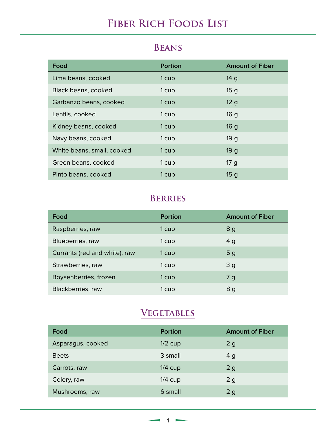### **Fiber Rich Foods List**

#### **Beans**

| Food                       | <b>Portion</b> | <b>Amount of Fiber</b> |
|----------------------------|----------------|------------------------|
| Lima beans, cooked         | 1 cup          | 14 <sub>g</sub>        |
| Black beans, cooked        | 1 cup          | 15 <sub>q</sub>        |
| Garbanzo beans, cooked     | 1 cup          | 12 <sub>g</sub>        |
| Lentils, cooked            | 1 cup          | 16q                    |
| Kidney beans, cooked       | 1 cup          | 16 <sub>g</sub>        |
| Navy beans, cooked         | 1 cup          | 19q                    |
| White beans, small, cooked | 1 cup          | 19 <sub>g</sub>        |
| Green beans, cooked        | 1 cup          | 17 <sub>q</sub>        |
| Pinto beans, cooked        | 1 cup          | 15 <sub>g</sub>        |

### **Berries**

| Food                          | <b>Portion</b> | <b>Amount of Fiber</b> |
|-------------------------------|----------------|------------------------|
| Raspberries, raw              | 1 cup          | 8 <sub>g</sub>         |
| Blueberries, raw              | 1 cup          | 4 <sub>q</sub>         |
| Currants (red and white), raw | 1 cup          | 5 <sub>g</sub>         |
| Strawberries, raw             | 1 cup          | 3 <sub>q</sub>         |
| Boysenberries, frozen         | 1 cup          | 7 <sub>g</sub>         |
| Blackberries, raw             | 1 cup          | 8 <sub>g</sub>         |

#### **Vegetables**

| Food              | <b>Portion</b> | <b>Amount of Fiber</b> |
|-------------------|----------------|------------------------|
| Asparagus, cooked | $1/2$ cup      | 2 <sub>g</sub>         |
| <b>Beets</b>      | 3 small        | 4g                     |
| Carrots, raw      | $1/4$ cup      | 2g                     |
| Celery, raw       | $1/4$ cup      | 2 <sub>g</sub>         |
| Mushrooms, raw    | 6 small        | 2g                     |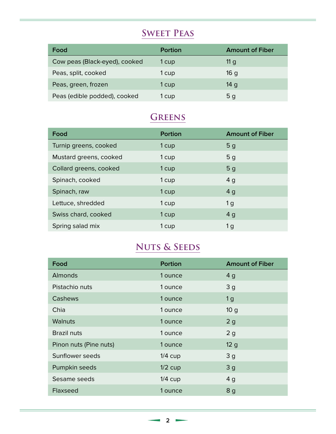# **Sweet Peas**

| Food                          | Portion | <b>Amount of Fiber</b> |
|-------------------------------|---------|------------------------|
| Cow peas (Black-eyed), cooked | 1 cup   | 11 <sub>q</sub>        |
| Peas, split, cooked           | 1 cup   | 16 <sub>q</sub>        |
| Peas, green, frozen           | 1 cup   | 14 <sub>q</sub>        |
| Peas (edible podded), cooked  | 1 cup   | 5q                     |

### **Greens**

| Food                   | <b>Portion</b> | <b>Amount of Fiber</b> |
|------------------------|----------------|------------------------|
| Turnip greens, cooked  | 1 cup          | 5 <sub>g</sub>         |
| Mustard greens, cooked | 1 cup          | 5 <sub>g</sub>         |
| Collard greens, cooked | 1 cup          | 5 <sub>g</sub>         |
| Spinach, cooked        | 1 cup          | 4 <sub>q</sub>         |
| Spinach, raw           | 1 cup          | 4 <sub>q</sub>         |
| Lettuce, shredded      | 1 cup          | 1 <sub>g</sub>         |
| Swiss chard, cooked    | 1 cup          | 4 <sub>q</sub>         |
| Spring salad mix       | 1 cup          | 1 <sub>g</sub>         |

## **Nuts & Seeds**

| Food                   | <b>Portion</b> | <b>Amount of Fiber</b> |
|------------------------|----------------|------------------------|
| <b>Almonds</b>         | 1 ounce        | 4g                     |
| Pistachio nuts         | 1 ounce        | 3g                     |
| Cashews                | 1 ounce        | 1 <sub>g</sub>         |
| Chia                   | 1 ounce        | 10 <sub>g</sub>        |
| Walnuts                | 1 ounce        | 2g                     |
| <b>Brazil nuts</b>     | 1 ounce        | 2g                     |
| Pinon nuts (Pine nuts) | 1 ounce        | 12 <sub>g</sub>        |
| Sunflower seeds        | $1/4$ cup      | 3 <sub>g</sub>         |
| Pumpkin seeds          | $1/2$ cup      | 3 <sub>g</sub>         |
| Sesame seeds           | $1/4$ cup      | 4 <sub>g</sub>         |
| Flaxseed               | 1 ounce        | 8 <sub>g</sub>         |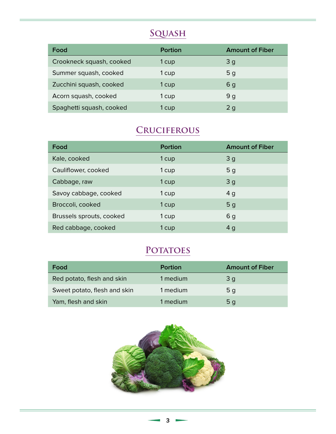## **Squash**

| Food                     | <b>Portion</b> | <b>Amount of Fiber</b> |
|--------------------------|----------------|------------------------|
| Crookneck squash, cooked | 1 cup          | 3 <sub>q</sub>         |
| Summer squash, cooked    | 1 cup          | 5 <sub>q</sub>         |
| Zucchini squash, cooked  | 1 cup          | 6 <sub>g</sub>         |
| Acorn squash, cooked     | 1 cup          | 9q                     |
| Spaghetti squash, cooked | 1 cup          | 2 <sub>g</sub>         |

### **Cruciferous**

| Food                     | <b>Portion</b> | <b>Amount of Fiber</b> |
|--------------------------|----------------|------------------------|
| Kale, cooked             | 1 cup          | 3 <sub>q</sub>         |
| Cauliflower, cooked      | 1 cup          | 5 <sub>q</sub>         |
| Cabbage, raw             | 1 cup          | 3 <sub>g</sub>         |
| Savoy cabbage, cooked    | 1 cup          | 4 <sub>q</sub>         |
| Broccoli, cooked         | 1 cup          | 5 <sub>q</sub>         |
| Brussels sprouts, cooked | 1 cup          | 6 <sub>g</sub>         |
| Red cabbage, cooked      | 1 cup          | 4g                     |

#### POTATOES

| Food                         | <b>Portion</b> | <b>Amount of Fiber</b> |
|------------------------------|----------------|------------------------|
| Red potato, flesh and skin   | 1 medium       | 3q                     |
| Sweet potato, flesh and skin | 1 medium       | 5q                     |
| Yam, flesh and skin          | 1 medium       | b a                    |